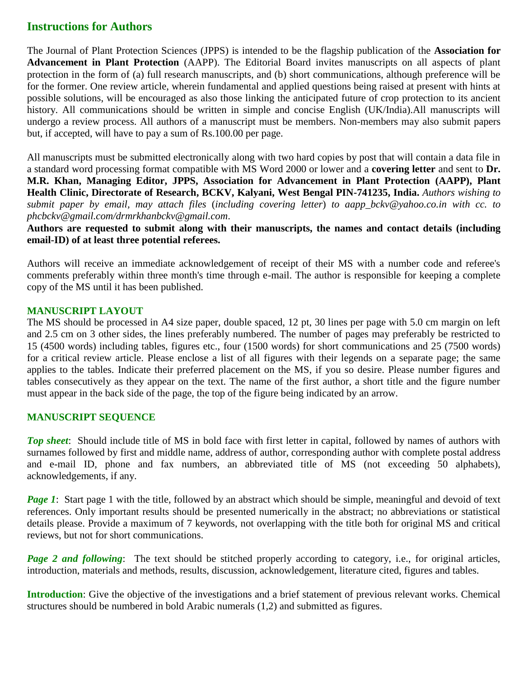# **Instructions for Authors**

The Journal of Plant Protection Sciences (JPPS) is intended to be the flagship publication of the **Association for Advancement in Plant Protection** (AAPP). The Editorial Board invites manuscripts on all aspects of plant protection in the form of (a) full research manuscripts, and (b) short communications, although preference will be for the former. One review article, wherein fundamental and applied questions being raised at present with hints at possible solutions, will be encouraged as also those linking the anticipated future of crop protection to its ancient history. All communications should be written in simple and concise English (UK/India).All manuscripts will undergo a review process. All authors of a manuscript must be members. Non-members may also submit papers but, if accepted, will have to pay a sum of Rs.100.00 per page.

All manuscripts must be submitted electronically along with two hard copies by post that will contain a data file in a standard word processing format compatible with MS Word 2000 or lower and a **covering letter** and sent to **Dr. M.R. Khan, Managing Editor, JPPS, Association for Advancement in Plant Protection (AAPP), Plant Health Clinic, Directorate of Research, BCKV, Kalyani, West Bengal PIN-741235, India.** *Authors wishing to submit paper by email, may attach files* (*including covering letter*) *to aapp\_bckv@yahoo.co.in with cc. to phcbckv@gmail.com/drmrkhanbckv@gmail.com*.

**Authors are requested to submit along with their manuscripts, the names and contact details (including email-ID) of at least three potential referees.**

Authors will receive an immediate acknowledgement of receipt of their MS with a number code and referee's comments preferably within three month's time through e-mail. The author is responsible for keeping a complete copy of the MS until it has been published.

### **MANUSCRIPT LAYOUT**

The MS should be processed in A4 size paper, double spaced, 12 pt, 30 lines per page with 5.0 cm margin on left and 2.5 cm on 3 other sides, the lines preferably numbered. The number of pages may preferably be restricted to 15 (4500 words) including tables, figures etc., four (1500 words) for short communications and 25 (7500 words) for a critical review article. Please enclose a list of all figures with their legends on a separate page; the same applies to the tables. Indicate their preferred placement on the MS, if you so desire. Please number figures and tables consecutively as they appear on the text. The name of the first author, a short title and the figure number must appear in the back side of the page, the top of the figure being indicated by an arrow.

# **MANUSCRIPT SEQUENCE**

*Top sheet*: Should include title of MS in bold face with first letter in capital, followed by names of authors with surnames followed by first and middle name, address of author, corresponding author with complete postal address and e-mail ID, phone and fax numbers, an abbreviated title of MS (not exceeding 50 alphabets), acknowledgements, if any.

*Page 1*: Start page 1 with the title, followed by an abstract which should be simple, meaningful and devoid of text references. Only important results should be presented numerically in the abstract; no abbreviations or statistical details please. Provide a maximum of 7 keywords, not overlapping with the title both for original MS and critical reviews, but not for short communications.

*Page 2 and following*: The text should be stitched properly according to category, i.e., for original articles, introduction, materials and methods, results, discussion, acknowledgement, literature cited, figures and tables.

**Introduction**: Give the objective of the investigations and a brief statement of previous relevant works. Chemical structures should be numbered in bold Arabic numerals (1,2) and submitted as figures.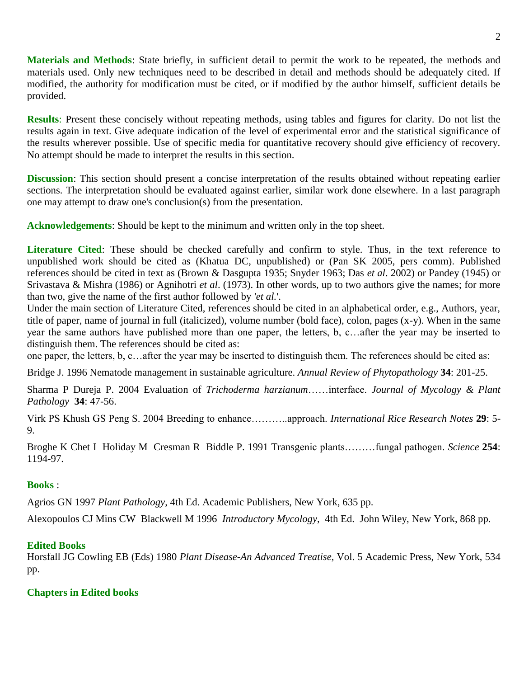**Materials and Methods**: State briefly, in sufficient detail to permit the work to be repeated, the methods and materials used. Only new techniques need to be described in detail and methods should be adequately cited. If modified, the authority for modification must be cited, or if modified by the author himself, sufficient details be provided.

**Results**: Present these concisely without repeating methods, using tables and figures for clarity. Do not list the results again in text. Give adequate indication of the level of experimental error and the statistical significance of the results wherever possible. Use of specific media for quantitative recovery should give efficiency of recovery. No attempt should be made to interpret the results in this section.

**Discussion**: This section should present a concise interpretation of the results obtained without repeating earlier sections. The interpretation should be evaluated against earlier, similar work done elsewhere. In a last paragraph one may attempt to draw one's conclusion(s) from the presentation.

**Acknowledgements**: Should be kept to the minimum and written only in the top sheet.

**Literature Cited**: These should be checked carefully and confirm to style. Thus, in the text reference to unpublished work should be cited as (Khatua DC, unpublished) or (Pan SK 2005, pers comm). Published references should be cited in text as (Brown & Dasgupta 1935; Snyder 1963; Das *et al*. 2002) or Pandey (1945) or Srivastava & Mishra (1986) or Agnihotri *et al*. (1973). In other words, up to two authors give the names; for more than two, give the name of the first author followed by *'et al.*'.

Under the main section of Literature Cited, references should be cited in an alphabetical order, e.g., Authors, year, title of paper, name of journal in full (italicized), volume number (bold face), colon, pages (x-y). When in the same year the same authors have published more than one paper, the letters, b, c…after the year may be inserted to distinguish them. The references should be cited as:

one paper, the letters, b, c…after the year may be inserted to distinguish them. The references should be cited as:

Bridge J. 1996 Nematode management in sustainable agriculture. *Annual Review of Phytopathology* **34**: 201-25.

Sharma P Dureja P. 2004 Evaluation of *Trichoderma harzianum*……interface. *Journal of Mycology & Plant Pathology* **34**: 47-56.

Virk PS Khush GS Peng S. 2004 Breeding to enhance………..approach. *International Rice Research Notes* **29**: 5- 9.

Broghe K Chet I Holiday M Cresman R Biddle P. 1991 Transgenic plants………fungal pathogen. *Science* **254**: 1194-97.

# **Books** :

Agrios GN 1997 *Plant Pathology*, 4th Ed. Academic Publishers, New York, 635 pp.

Alexopoulos CJ Mins CW Blackwell M 1996 *Introductory Mycology*, 4th Ed. John Wiley, New York, 868 pp.

# **Edited Books**

Horsfall JG Cowling EB (Eds) 1980 *Plant Disease-An Advanced Treatise*, Vol. 5 Academic Press, New York, 534 pp.

#### **Chapters in Edited books**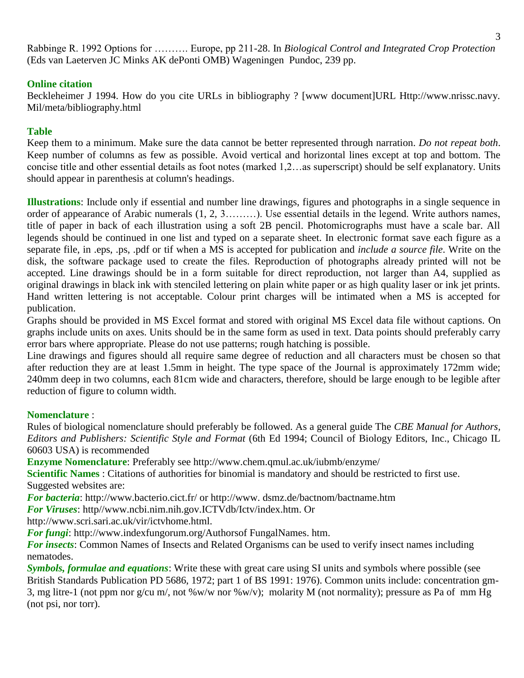Rabbinge R. 1992 Options for ………. Europe, pp 211-28. In *Biological Control and Integrated Crop Protection*  (Eds van Laeterven JC Minks AK dePonti OMB) Wageningen Pundoc, 239 pp.

### **Online citation**

Beckleheimer J 1994. How do you cite URLs in bibliography ? [www document]URL Http://www.nrissc.navy. Mil/meta/bibliography.html

### **Table**

Keep them to a minimum. Make sure the data cannot be better represented through narration. *Do not repeat both*. Keep number of columns as few as possible. Avoid vertical and horizontal lines except at top and bottom. The concise title and other essential details as foot notes (marked 1,2…as superscript) should be self explanatory. Units should appear in parenthesis at column's headings.

**Illustrations**: Include only if essential and number line drawings, figures and photographs in a single sequence in order of appearance of Arabic numerals (1, 2, 3………). Use essential details in the legend. Write authors names, title of paper in back of each illustration using a soft 2B pencil. Photomicrographs must have a scale bar. All legends should be continued in one list and typed on a separate sheet. In electronic format save each figure as a separate file, in .eps, .ps, .pdf or tif when a MS is accepted for publication and *include a source file*. Write on the disk, the software package used to create the files. Reproduction of photographs already printed will not be accepted. Line drawings should be in a form suitable for direct reproduction, not larger than A4, supplied as original drawings in black ink with stenciled lettering on plain white paper or as high quality laser or ink jet prints. Hand written lettering is not acceptable. Colour print charges will be intimated when a MS is accepted for publication.

Graphs should be provided in MS Excel format and stored with original MS Excel data file without captions. On graphs include units on axes. Units should be in the same form as used in text. Data points should preferably carry error bars where appropriate. Please do not use patterns; rough hatching is possible.

Line drawings and figures should all require same degree of reduction and all characters must be chosen so that after reduction they are at least 1.5mm in height. The type space of the Journal is approximately 172mm wide; 240mm deep in two columns, each 81cm wide and characters, therefore, should be large enough to be legible after reduction of figure to column width.

### **Nomenclature** :

Rules of biological nomenclature should preferably be followed. As a general guide The *CBE Manual for Authors, Editors and Publishers: Scientific Style and Format* (6th Ed 1994; Council of Biology Editors, Inc., Chicago IL 60603 USA) is recommended

**Enzyme Nomenclature**: Preferably see http://www.chem.qmul.ac.uk/iubmb/enzyme/

**Scientific Names** : Citations of authorities for binomial is mandatory and should be restricted to first use. Suggested websites are:

*For bacteria*: http://www.bacterio.cict.fr/ or http://www. dsmz.de/bactnom/bactname.htm

*For Viruses*: http//www.ncbi.nim.nih.gov.ICTVdb/Ictv/index.htm. Or

http://www.scri.sari.ac.uk/vir/ictvhome.html.

*For fungi*: http://www.indexfungorum.org/Authorsof FungalNames. htm.

*For insects*: Common Names of Insects and Related Organisms can be used to verify insect names including nematodes.

*Symbols, formulae and equations*: Write these with great care using SI units and symbols where possible (see British Standards Publication PD 5686, 1972; part 1 of BS 1991: 1976). Common units include: concentration gm-3, mg litre-1 (not ppm nor g/cu m/, not %w/w nor %w/v); molarity M (not normality); pressure as Pa of mm Hg (not psi, nor torr).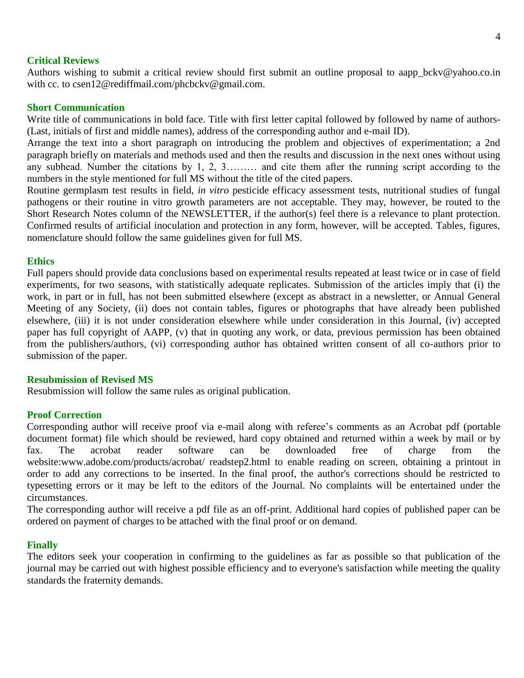#### **Critical Reviews**

Authors wishing to submit a critical review should first submit an outline proposal to aapp\_bckv@yahoo.co.in with cc. to csen12@rediffmail.com/phcbckv@gmail.com.

#### **Short Communication**

Write title of communications in bold face. Title with first letter capital followed by followed by name of authors- (Last, initials of first and middle names), address of the corresponding author and e-mail ID).

Arrange the text into a short paragraph on introducing the problem and objectives of experimentation; a 2nd paragraph briefly on materials and methods used and then the results and discussion in the next ones without using any subhead. Number the citations by 1, 2, 3……… and cite them after the running script according to the numbers in the style mentioned for full MS without the title of the cited papers.

Routine germplasm test results in field, *in vitro* pesticide efficacy assessment tests, nutritional studies of fungal pathogens or their routine in vitro growth parameters are not acceptable. They may, however, be routed to the Short Research Notes column of the NEWSLETTER, if the author(s) feel there is a relevance to plant protection. Confirmed results of artificial inoculation and protection in any form, however, will be accepted. Tables, figures, nomenclature should follow the same guidelines given for full MS.

### **Ethics**

Full papers should provide data conclusions based on experimental results repeated at least twice or in case of field experiments, for two seasons, with statistically adequate replicates. Submission of the articles imply that (i) the work, in part or in full, has not been submitted elsewhere (except as abstract in a newsletter, or Annual General Meeting of any Society, (ii) does not contain tables, figures or photographs that have already been published elsewhere, (iii) it is not under consideration elsewhere while under consideration in this Journal, (iv) accepted paper has full copyright of AAPP, (v) that in quoting any work, or data, previous permission has been obtained from the publishers/authors, (vi) corresponding author has obtained written consent of all co-authors prior to submission of the paper.

#### **Resubmission of Revised MS**

Resubmission will follow the same rules as original publication.

#### **Proof Correction**

Corresponding author will receive proof via e-mail along with referee's comments as an Acrobat pdf (portable document format) file which should be reviewed, hard copy obtained and returned within a week by mail or by fax. The acrobat reader software can be downloaded free of charge from the website:www.adobe.com/products/acrobat/ readstep2.html to enable reading on screen, obtaining a printout in order to add any corrections to be inserted. In the final proof, the author's corrections should be restricted to typesetting errors or it may be left to the editors of the Journal. No complaints will be entertained under the circumstances.

The corresponding author will receive a pdf file as an off-print. Additional hard copies of published paper can be ordered on payment of charges to be attached with the final proof or on demand.

#### **Finally**

The editors seek your cooperation in confirming to the guidelines as far as possible so that publication of the journal may be carried out with highest possible efficiency and to everyone's satisfaction while meeting the quality standards the fraternity demands.